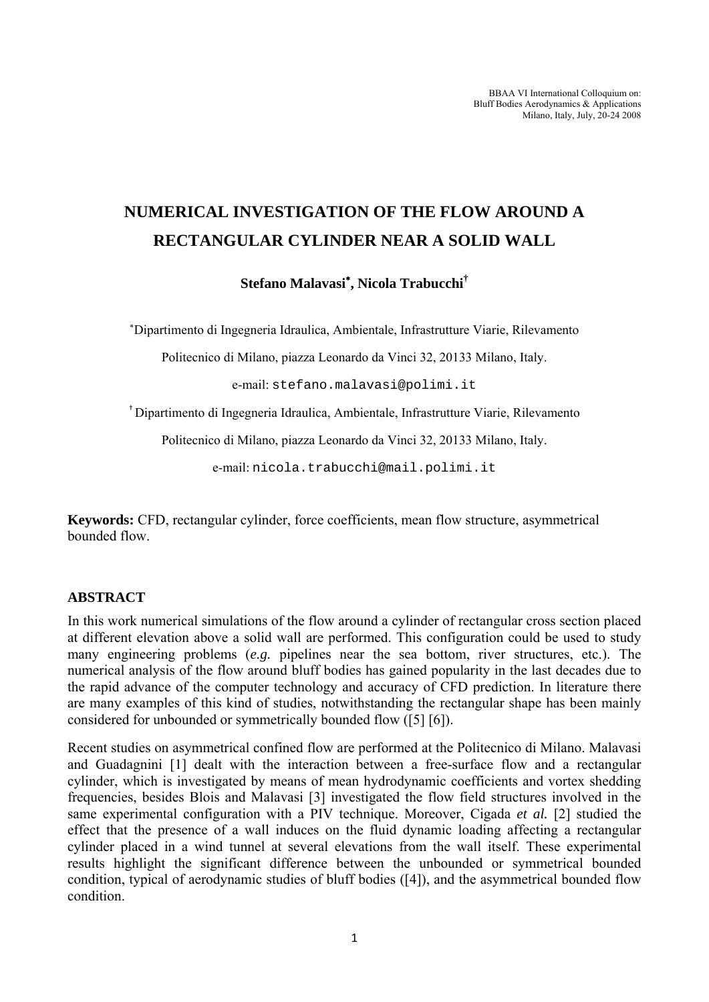BBAA VI International Colloquium on: Bluff Bodies Aerodynamics & Applications Milano, Italy, July, 20-24 2008

## **NUMERICAL INVESTIGATION OF THE FLOW AROUND A RECTANGULAR CYLINDER NEAR A SOLID WALL**

**Stefano Malavasi**<sup>∗</sup> **, Nicola Trabucchi†**

∗ Dipartimento di Ingegneria Idraulica, Ambientale, Infrastrutture Viarie, Rilevamento

Politecnico di Milano, piazza Leonardo da Vinci 32, 20133 Milano, Italy.

e-mail: stefano.malavasi@polimi.it

†Dipartimento di Ingegneria Idraulica, Ambientale, Infrastrutture Viarie, Rilevamento

Politecnico di Milano, piazza Leonardo da Vinci 32, 20133 Milano, Italy.

e-mail: nicola.trabucchi@mail.polimi.it

**Keywords:** CFD, rectangular cylinder, force coefficients, mean flow structure, asymmetrical bounded flow.

## **ABSTRACT**

In this work numerical simulations of the flow around a cylinder of rectangular cross section placed at different elevation above a solid wall are performed. This configuration could be used to study many engineering problems (*e.g.* pipelines near the sea bottom, river structures, etc.). The numerical analysis of the flow around bluff bodies has gained popularity in the last decades due to the rapid advance of the computer technology and accuracy of CFD prediction. In literature there are many examples of this kind of studies, notwithstanding the rectangular shape has been mainly considered for unbounded or symmetrically bounded flow ([5] [6]).

Recent studies on asymmetrical confined flow are performed at the Politecnico di Milano. Malavasi and Guadagnini [1] dealt with the interaction between a free-surface flow and a rectangular cylinder, which is investigated by means of mean hydrodynamic coefficients and vortex shedding frequencies, besides Blois and Malavasi [3] investigated the flow field structures involved in the same experimental configuration with a PIV technique. Moreover, Cigada *et al.* [2] studied the effect that the presence of a wall induces on the fluid dynamic loading affecting a rectangular cylinder placed in a wind tunnel at several elevations from the wall itself. These experimental results highlight the significant difference between the unbounded or symmetrical bounded condition, typical of aerodynamic studies of bluff bodies ([4]), and the asymmetrical bounded flow condition.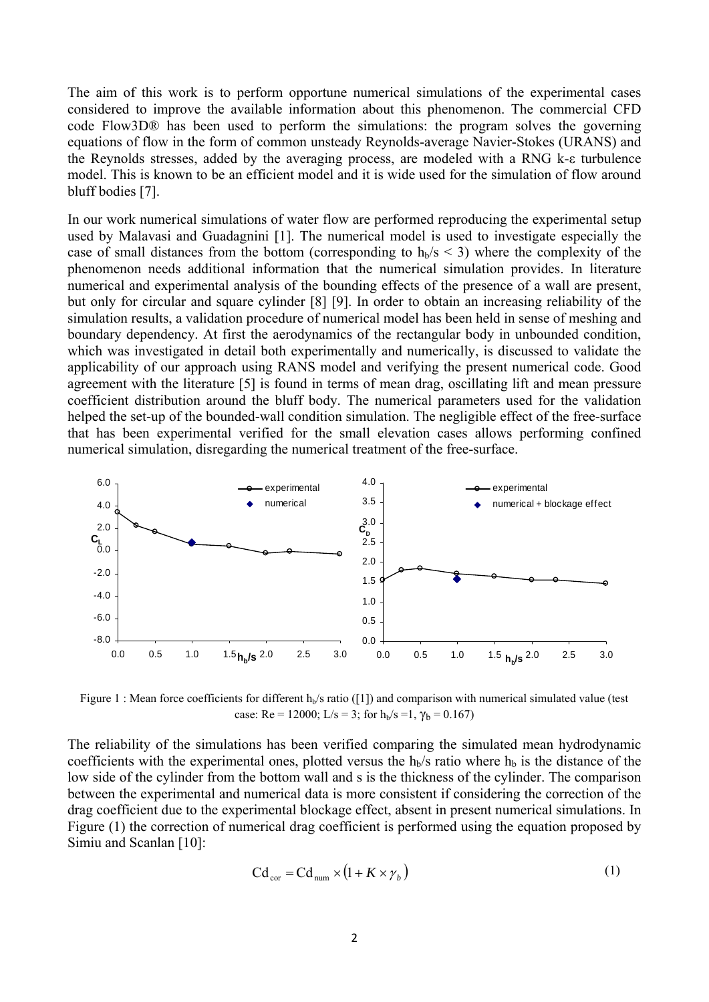The aim of this work is to perform opportune numerical simulations of the experimental cases considered to improve the available information about this phenomenon. The commercial CFD code Flow3D® has been used to perform the simulations: the program solves the governing equations of flow in the form of common unsteady Reynolds-average Navier-Stokes (URANS) and the Reynolds stresses, added by the averaging process, are modeled with a RNG k-ε turbulence model. This is known to be an efficient model and it is wide used for the simulation of flow around bluff bodies [7].

In our work numerical simulations of water flow are performed reproducing the experimental setup used by Malavasi and Guadagnini [1]. The numerical model is used to investigate especially the case of small distances from the bottom (corresponding to  $h_b/s < 3$ ) where the complexity of the phenomenon needs additional information that the numerical simulation provides. In literature numerical and experimental analysis of the bounding effects of the presence of a wall are present, but only for circular and square cylinder [8] [9]. In order to obtain an increasing reliability of the simulation results, a validation procedure of numerical model has been held in sense of meshing and boundary dependency. At first the aerodynamics of the rectangular body in unbounded condition, which was investigated in detail both experimentally and numerically, is discussed to validate the applicability of our approach using RANS model and verifying the present numerical code. Good agreement with the literature [5] is found in terms of mean drag, oscillating lift and mean pressure coefficient distribution around the bluff body. The numerical parameters used for the validation helped the set-up of the bounded-wall condition simulation. The negligible effect of the free-surface that has been experimental verified for the small elevation cases allows performing confined numerical simulation, disregarding the numerical treatment of the free-surface.



Figure 1 : Mean force coefficients for different  $h<sub>b</sub>/s$  ratio ([1]) and comparison with numerical simulated value (test case: Re = 12000; L/s = 3; for  $h_b/s = 1$ ,  $\gamma_b = 0.167$ )

The reliability of the simulations has been verified comparing the simulated mean hydrodynamic coefficients with the experimental ones, plotted versus the  $h_b/s$  ratio where  $h_b$  is the distance of the low side of the cylinder from the bottom wall and s is the thickness of the cylinder. The comparison between the experimental and numerical data is more consistent if considering the correction of the drag coefficient due to the experimental blockage effect, absent in present numerical simulations. In Figure (1) the correction of numerical drag coefficient is performed using the equation proposed by Simiu and Scanlan [10]:

$$
Cd_{cor} = Cd_{num} \times (1 + K \times \gamma_b)
$$
 (1)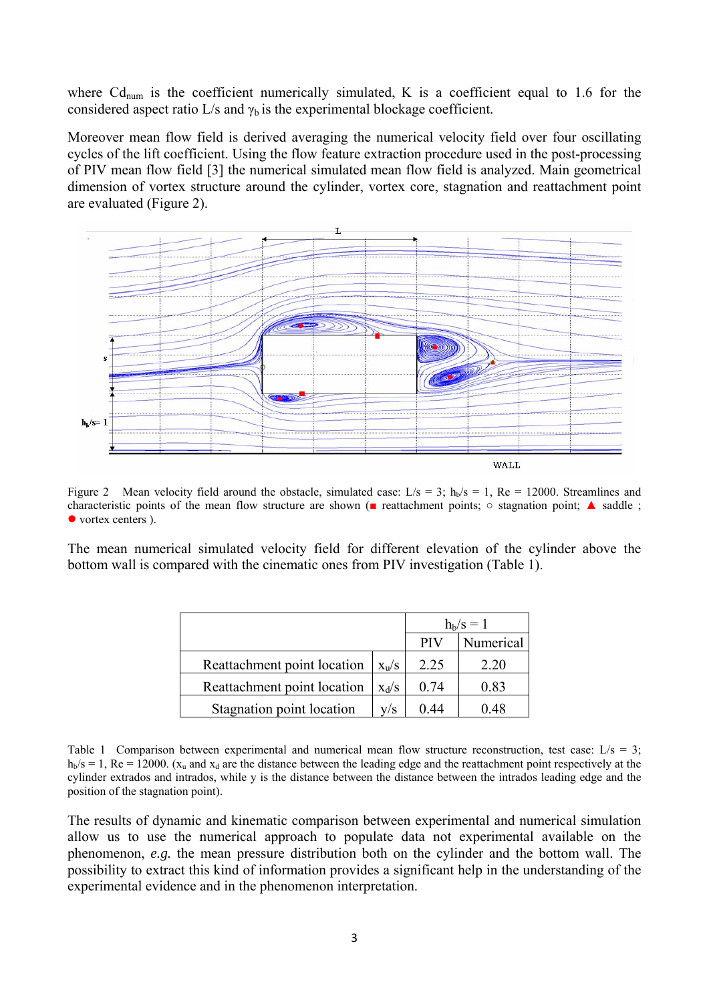where  $Cd_{num}$  is the coefficient numerically simulated, K is a coefficient equal to 1.6 for the considered aspect ratio L/s and  $\gamma_b$  is the experimental blockage coefficient.

Moreover mean flow field is derived averaging the numerical velocity field over four oscillating cycles of the lift coefficient. Using the flow feature extraction procedure used in the post-processing of PIV mean flow field [3] the numerical simulated mean flow field is analyzed. Main geometrical dimension of vortex structure around the cylinder, vortex core, stagnation and reattachment point are evaluated (Figure 2).



Figure 2 Mean velocity field around the obstacle, simulated case: L/s = 3;  $h<sub>b</sub>/s = 1$ , Re = 12000. Streamlines and characteristic points of the mean flow structure are shown (■ reattachment points; ○ stagnation point; ▲ saddle ;  $\bullet$  vortex centers ).

The mean numerical simulated velocity field for different elevation of the cylinder above the bottom wall is compared with the cinematic ones from PIV investigation (Table 1).

|                             |               | $h_{b}/s = 1$ |           |
|-----------------------------|---------------|---------------|-----------|
|                             |               | <b>PIV</b>    | Numerical |
| Reattachment point location | $X_{\rm u}/S$ | 2.25          | 2 20      |
| Reattachment point location | $X_d/S$       | 0.74          | 0.83      |
| Stagnation point location   | V/S           | () 44         | 0 48      |

Table 1 Comparison between experimental and numerical mean flow structure reconstruction, test case:  $L/s = 3$ ;  $h<sub>b</sub>/s = 1$ , Re = 12000. (x<sub>u</sub> and x<sub>d</sub> are the distance between the leading edge and the reattachment point respectively at the cylinder extrados and intrados, while y is the distance between the distance between the intrados leading edge and the position of the stagnation point).

The results of dynamic and kinematic comparison between experimental and numerical simulation allow us to use the numerical approach to populate data not experimental available on the phenomenon, *e.g.* the mean pressure distribution both on the cylinder and the bottom wall. The possibility to extract this kind of information provides a significant help in the understanding of the experimental evidence and in the phenomenon interpretation.